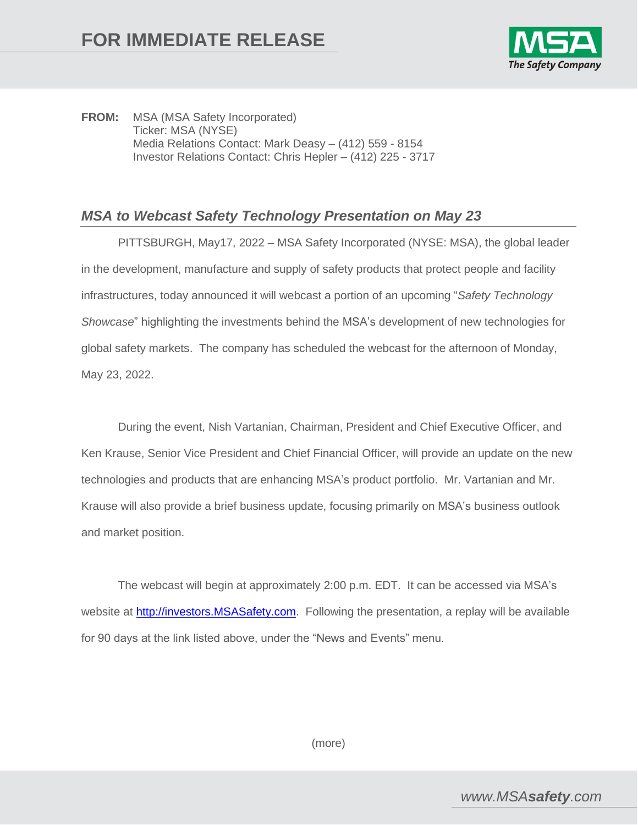

**FROM:** MSA (MSA Safety Incorporated) Ticker: MSA (NYSE) Media Relations Contact: Mark Deasy – (412) 559 - 8154 Investor Relations Contact: Chris Hepler – (412) 225 - 3717

## *MSA to Webcast Safety Technology Presentation on May 23*

PITTSBURGH, May17, 2022 – MSA Safety Incorporated (NYSE: MSA), the global leader in the development, manufacture and supply of safety products that protect people and facility infrastructures, today announced it will webcast a portion of an upcoming "*Safety Technology Showcase*" highlighting the investments behind the MSA's development of new technologies for global safety markets. The company has scheduled the webcast for the afternoon of Monday, May 23, 2022.

During the event, Nish Vartanian, Chairman, President and Chief Executive Officer, and Ken Krause, Senior Vice President and Chief Financial Officer, will provide an update on the new technologies and products that are enhancing MSA's product portfolio. Mr. Vartanian and Mr. Krause will also provide a brief business update, focusing primarily on MSA's business outlook and market position.

The webcast will begin at approximately 2:00 p.m. EDT. It can be accessed via MSA's website at [http://investors.MSASafety.com.](http://investors.msasafety.com/) Following the presentation, a replay will be available for 90 days at the link listed above, under the "News and Events" menu.

(more)